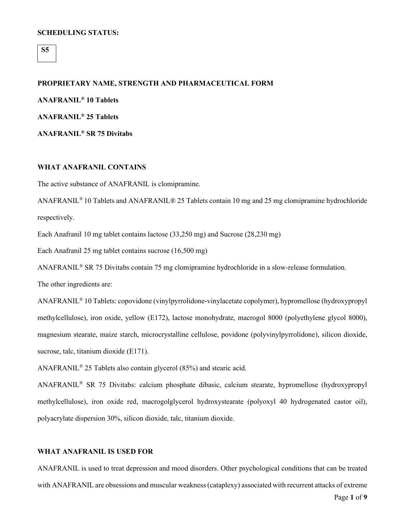## **SCHEDULING STATUS:**

**S5**

#### **PROPRIETARY NAME, STRENGTH AND PHARMACEUTICAL FORM**

**ANAFRANIL® 10 Tablets ANAFRANIL® 25 Tablets**

**ANAFRANIL® SR 75 Divitabs**

## **WHAT ANAFRANIL CONTAINS**

The active substance of ANAFRANIL is clomipramine.

ANAFRANIL® 10 Tablets and ANAFRANIL® 25 Tablets contain 10 mg and 25 mg clomipramine hydrochloride respectively.

Each Anafranil 10 mg tablet contains lactose (33,250 mg) and Sucrose (28,230 mg)

Each Anafranil 25 mg tablet contains sucrose (16,500 mg)

ANAFRANIL® SR 75 Divitabs contain 75 mg clomipramine hydrochloride in a slow-release formulation.

The other ingredients are:

ANAFRANIL® 10 Tablets: copovidone (vinylpyrrolidone-vinylacetate copolymer), hypromellose (hydroxypropyl methylcellulose), iron oxide, yellow (E172), lactose monohydrate, macrogol 8000 (polyethylene glycol 8000), magnesium stearate, maize starch, microcrystalline cellulose, povidone (polyvinylpyrrolidone), silicon dioxide, sucrose, talc, titanium dioxide (E171).

ANAFRANIL® 25 Tablets also contain glycerol (85%) and stearic acid.

ANAFRANIL® SR 75 Divitabs: calcium phosphate dibasic, calcium stearate, hypromellose (hydroxypropyl methylcellulose), iron oxide red, macrogolglycerol hydroxystearate (polyoxyl 40 hydrogenated castor oil), polyacrylate dispersion 30%, silicon dioxide, talc, titanium dioxide.

## **WHAT ANAFRANIL IS USED FOR**

ANAFRANIL is used to treat depression and mood disorders. Other psychological conditions that can be treated with ANAFRANIL are obsessions and muscular weakness (cataplexy) associated with recurrent attacks of extreme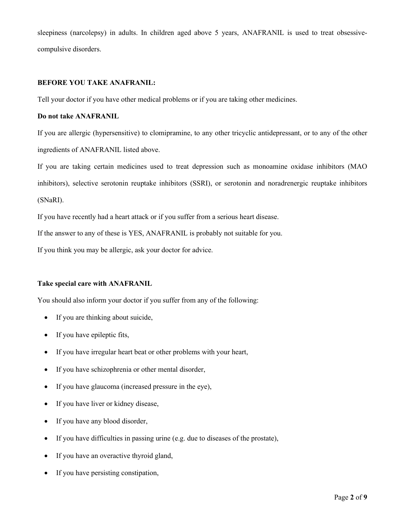sleepiness (narcolepsy) in adults. In children aged above 5 years, ANAFRANIL is used to treat obsessivecompulsive disorders.

## **BEFORE YOU TAKE ANAFRANIL:**

Tell your doctor if you have other medical problems or if you are taking other medicines.

## **Do not take ANAFRANIL**

If you are allergic (hypersensitive) to clomipramine, to any other tricyclic antidepressant, or to any of the other ingredients of ANAFRANIL listed above.

If you are taking certain medicines used to treat depression such as monoamine oxidase inhibitors (MAO inhibitors), selective serotonin reuptake inhibitors (SSRI), or serotonin and noradrenergic reuptake inhibitors (SNaRI).

If you have recently had a heart attack or if you suffer from a serious heart disease.

If the answer to any of these is YES, ANAFRANIL is probably not suitable for you.

If you think you may be allergic, ask your doctor for advice.

## **Take special care with ANAFRANIL**

You should also inform your doctor if you suffer from any of the following:

- If you are thinking about suicide,
- If you have epileptic fits,
- If you have irregular heart beat or other problems with your heart,
- If you have schizophrenia or other mental disorder,
- If you have glaucoma (increased pressure in the eye),
- If you have liver or kidney disease,
- If you have any blood disorder,
- If you have difficulties in passing urine (e.g. due to diseases of the prostate),
- If you have an overactive thyroid gland,
- If you have persisting constipation,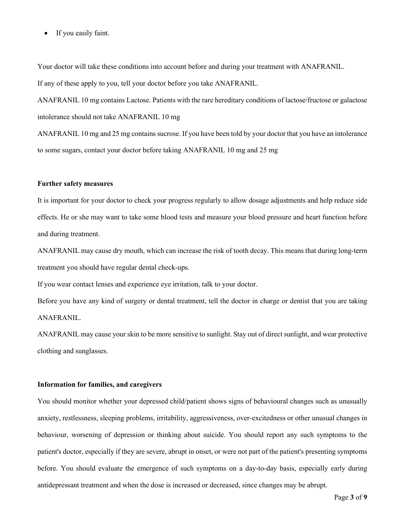• If you easily faint.

Your doctor will take these conditions into account before and during your treatment with ANAFRANIL. If any of these apply to you, tell your doctor before you take ANAFRANIL.

ANAFRANIL 10 mg contains Lactose. Patients with the rare hereditary conditions of lactose/fructose or galactose intolerance should not take ANAFRANIL 10 mg

ANAFRANIL 10 mg and 25 mg contains sucrose. If you have been told by your doctor that you have an intolerance to some sugars, contact your doctor before taking ANAFRANIL 10 mg and 25 mg

#### **Further safety measures**

It is important for your doctor to check your progress regularly to allow dosage adjustments and help reduce side effects. He or she may want to take some blood tests and measure your blood pressure and heart function before and during treatment.

ANAFRANIL may cause dry mouth, which can increase the risk of tooth decay. This means that during long-term treatment you should have regular dental check-ups.

If you wear contact lenses and experience eye irritation, talk to your doctor.

Before you have any kind of surgery or dental treatment, tell the doctor in charge or dentist that you are taking ANAFRANIL.

ANAFRANIL may cause your skin to be more sensitive to sunlight. Stay out of direct sunlight, and wear protective clothing and sunglasses.

#### **Information for families, and caregivers**

You should monitor whether your depressed child/patient shows signs of behavioural changes such as unusually anxiety, restlessness, sleeping problems, irritability, aggressiveness, over-excitedness or other unusual changes in behaviour, worsening of depression or thinking about suicide. You should report any such symptoms to the patient's doctor, especially if they are severe, abrupt in onset, or were not part of the patient's presenting symptoms before. You should evaluate the emergence of such symptoms on a day-to-day basis, especially early during antidepressant treatment and when the dose is increased or decreased, since changes may be abrupt.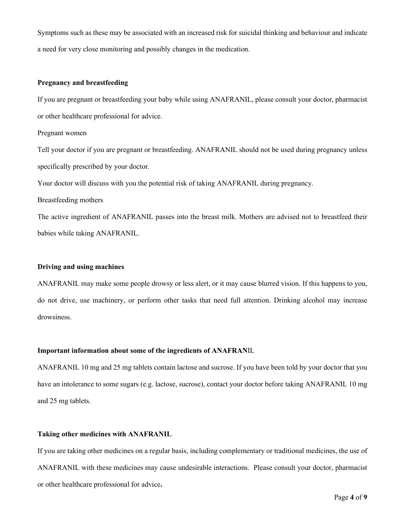Symptoms such as these may be associated with an increased risk for suicidal thinking and behaviour and indicate a need for very close monitoring and possibly changes in the medication.

#### **Pregnancy and breastfeeding**

If you are pregnant or breastfeeding your baby while using ANAFRANIL, please consult your doctor, pharmacist or other healthcare professional for advice.

#### Pregnant women

Tell your doctor if you are pregnant or breastfeeding. ANAFRANIL should not be used during pregnancy unless specifically prescribed by your doctor.

Your doctor will discuss with you the potential risk of taking ANAFRANIL during pregnancy.

Breastfeeding mothers

The active ingredient of ANAFRANIL passes into the breast milk. Mothers are advised not to breastfeed their babies while taking ANAFRANIL.

#### **Driving and using machines**

ANAFRANIL may make some people drowsy or less alert, or it may cause blurred vision. If this happens to you, do not drive, use machinery, or perform other tasks that need full attention. Drinking alcohol may increase drowsiness.

#### **Important information about some of the ingredients of ANAFRAN**IL

ANAFRANIL 10 mg and 25 mg tablets contain lactose and sucrose. If you have been told by your doctor that you have an intolerance to some sugars (e.g. lactose, sucrose), contact your doctor before taking ANAFRANIL 10 mg and 25 mg tablets.

#### **Taking other medicines with ANAFRANIL**

If you are taking other medicines on a regular basis, including complementary or traditional medicines, the use of ANAFRANIL with these medicines may cause undesirable interactions. Please consult your doctor, pharmacist or other healthcare professional for advice**.**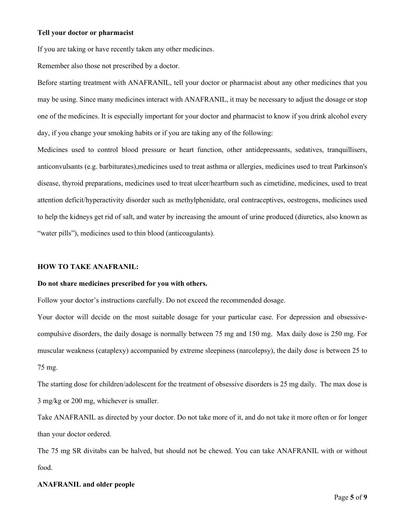## **Tell your doctor or pharmacist**

If you are taking or have recently taken any other medicines.

Remember also those not prescribed by a doctor.

Before starting treatment with ANAFRANIL, tell your doctor or pharmacist about any other medicines that you may be using. Since many medicines interact with ANAFRANIL, it may be necessary to adjust the dosage or stop one of the medicines. It is especially important for your doctor and pharmacist to know if you drink alcohol every day, if you change your smoking habits or if you are taking any of the following:

Medicines used to control blood pressure or heart function, other antidepressants, sedatives, tranquillisers, anticonvulsants (e.g. barbiturates),medicines used to treat asthma or allergies, medicines used to treat Parkinson's disease, thyroid preparations, medicines used to treat ulcer/heartburn such as cimetidine, medicines, used to treat attention deficit/hyperactivity disorder such as methylphenidate, oral contraceptives, oestrogens, medicines used to help the kidneys get rid of salt, and water by increasing the amount of urine produced (diuretics, also known as "water pills"), medicines used to thin blood (anticoagulants).

#### **HOW TO TAKE ANAFRANIL:**

## **Do not share medicines prescribed for you with others.**

Follow your doctor's instructions carefully. Do not exceed the recommended dosage.

Your doctor will decide on the most suitable dosage for your particular case. For depression and obsessivecompulsive disorders, the daily dosage is normally between 75 mg and 150 mg. Max daily dose is 250 mg. For muscular weakness (cataplexy) accompanied by extreme sleepiness (narcolepsy), the daily dose is between 25 to 75 mg.

The starting dose for children/adolescent for the treatment of obsessive disorders is 25 mg daily. The max dose is 3 mg/kg or 200 mg, whichever is smaller.

Take ANAFRANIL as directed by your doctor. Do not take more of it, and do not take it more often or for longer than your doctor ordered.

The 75 mg SR divitabs can be halved, but should not be chewed. You can take ANAFRANIL with or without food.

## **ANAFRANIL and older people**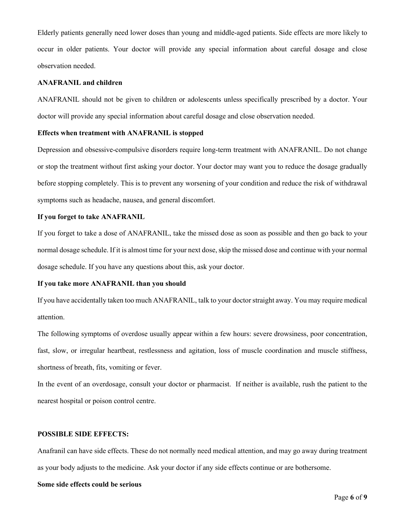Elderly patients generally need lower doses than young and middle-aged patients. Side effects are more likely to occur in older patients. Your doctor will provide any special information about careful dosage and close observation needed.

#### **ANAFRANIL and children**

ANAFRANIL should not be given to children or adolescents unless specifically prescribed by a doctor. Your doctor will provide any special information about careful dosage and close observation needed.

#### **Effects when treatment with ANAFRANIL is stopped**

Depression and obsessive-compulsive disorders require long-term treatment with ANAFRANIL. Do not change or stop the treatment without first asking your doctor. Your doctor may want you to reduce the dosage gradually before stopping completely. This is to prevent any worsening of your condition and reduce the risk of withdrawal symptoms such as headache, nausea, and general discomfort.

#### **If you forget to take ANAFRANIL**

If you forget to take a dose of ANAFRANIL, take the missed dose as soon as possible and then go back to your normal dosage schedule. If it is almost time for your next dose, skip the missed dose and continue with your normal dosage schedule. If you have any questions about this, ask your doctor.

#### **If you take more ANAFRANIL than you should**

If you have accidentally taken too much ANAFRANIL, talk to your doctor straight away. You may require medical attention.

The following symptoms of overdose usually appear within a few hours: severe drowsiness, poor concentration, fast, slow, or irregular heartbeat, restlessness and agitation, loss of muscle coordination and muscle stiffness, shortness of breath, fits, vomiting or fever.

In the event of an overdosage, consult your doctor or pharmacist. If neither is available, rush the patient to the nearest hospital or poison control centre.

## **POSSIBLE SIDE EFFECTS:**

Anafranil can have side effects. These do not normally need medical attention, and may go away during treatment as your body adjusts to the medicine. Ask your doctor if any side effects continue or are bothersome.

### **Some side effects could be serious**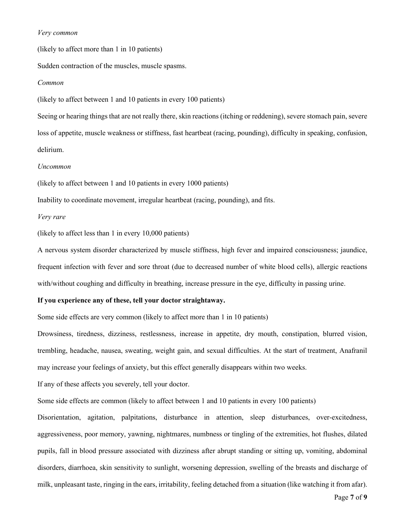## *Very common*

(likely to affect more than 1 in 10 patients)

Sudden contraction of the muscles, muscle spasms.

#### *Common*

(likely to affect between 1 and 10 patients in every 100 patients)

Seeing or hearing things that are not really there, skin reactions (itching or reddening), severe stomach pain, severe loss of appetite, muscle weakness or stiffness, fast heartbeat (racing, pounding), difficulty in speaking, confusion, delirium.

## *Uncommon*

(likely to affect between 1 and 10 patients in every 1000 patients)

Inability to coordinate movement, irregular heartbeat (racing, pounding), and fits.

## *Very rare*

(likely to affect less than 1 in every 10,000 patients)

A nervous system disorder characterized by muscle stiffness, high fever and impaired consciousness; jaundice, frequent infection with fever and sore throat (due to decreased number of white blood cells), allergic reactions with/without coughing and difficulty in breathing, increase pressure in the eye, difficulty in passing urine.

## **If you experience any of these, tell your doctor straightaway.**

Some side effects are very common (likely to affect more than 1 in 10 patients)

Drowsiness, tiredness, dizziness, restlessness, increase in appetite, dry mouth, constipation, blurred vision, trembling, headache, nausea, sweating, weight gain, and sexual difficulties. At the start of treatment, Anafranil may increase your feelings of anxiety, but this effect generally disappears within two weeks.

If any of these affects you severely, tell your doctor.

Some side effects are common (likely to affect between 1 and 10 patients in every 100 patients)

Disorientation, agitation, palpitations, disturbance in attention, sleep disturbances, over-excitedness, aggressiveness, poor memory, yawning, nightmares, numbness or tingling of the extremities, hot flushes, dilated pupils, fall in blood pressure associated with dizziness after abrupt standing or sitting up, vomiting, abdominal disorders, diarrhoea, skin sensitivity to sunlight, worsening depression, swelling of the breasts and discharge of milk, unpleasant taste, ringing in the ears, irritability, feeling detached from a situation (like watching it from afar).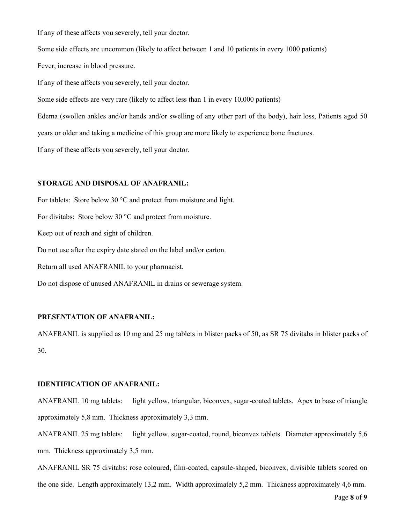If any of these affects you severely, tell your doctor.

Some side effects are uncommon (likely to affect between 1 and 10 patients in every 1000 patients)

Fever, increase in blood pressure.

If any of these affects you severely, tell your doctor.

Some side effects are very rare (likely to affect less than 1 in every 10,000 patients)

Edema (swollen ankles and/or hands and/or swelling of any other part of the body), hair loss, Patients aged 50

years or older and taking a medicine of this group are more likely to experience bone fractures.

If any of these affects you severely, tell your doctor.

## **STORAGE AND DISPOSAL OF ANAFRANIL:**

For tablets: Store below 30 °C and protect from moisture and light. For divitabs: Store below 30 °C and protect from moisture. Keep out of reach and sight of children. Do not use after the expiry date stated on the label and/or carton. Return all used ANAFRANIL to your pharmacist. Do not dispose of unused ANAFRANIL in drains or sewerage system.

## **PRESENTATION OF ANAFRANIL:**

ANAFRANIL is supplied as 10 mg and 25 mg tablets in blister packs of 50, as SR 75 divitabs in blister packs of 30.

#### **IDENTIFICATION OF ANAFRANIL:**

ANAFRANIL 10 mg tablets: light yellow, triangular, biconvex, sugar-coated tablets. Apex to base of triangle approximately 5,8 mm. Thickness approximately 3,3 mm.

ANAFRANIL 25 mg tablets: light yellow, sugar-coated, round, biconvex tablets. Diameter approximately 5,6 mm. Thickness approximately 3,5 mm.

ANAFRANIL SR 75 divitabs: rose coloured, film-coated, capsule-shaped, biconvex, divisible tablets scored on the one side. Length approximately 13,2 mm. Width approximately 5,2 mm. Thickness approximately 4,6 mm.